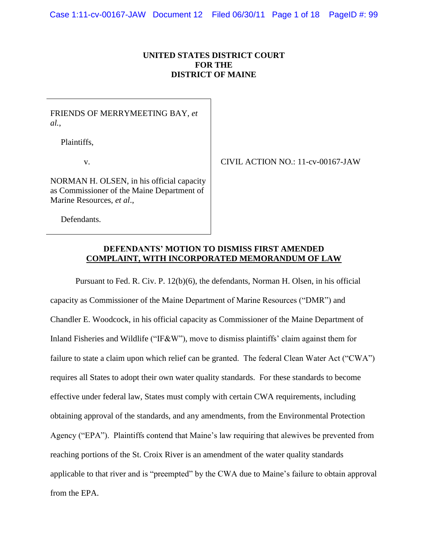# **UNITED STATES DISTRICT COURT FOR THE DISTRICT OF MAINE**

# FRIENDS OF MERRYMEETING BAY, *et al.*,

Plaintiffs,

v.

CIVIL ACTION NO.: 11-cv-00167-JAW

NORMAN H. OLSEN, in his official capacity as Commissioner of the Maine Department of Marine Resources, *et al*.,

Defendants.

### **DEFENDANTS' MOTION TO DISMISS FIRST AMENDED COMPLAINT, WITH INCORPORATED MEMORANDUM OF LAW**

Pursuant to Fed. R. Civ. P. 12(b)(6), the defendants, Norman H. Olsen, in his official capacity as Commissioner of the Maine Department of Marine Resources ("DMR") and Chandler E. Woodcock, in his official capacity as Commissioner of the Maine Department of Inland Fisheries and Wildlife ("IF&W"), move to dismiss plaintiffs' claim against them for failure to state a claim upon which relief can be granted. The federal Clean Water Act ("CWA") requires all States to adopt their own water quality standards. For these standards to become effective under federal law, States must comply with certain CWA requirements, including obtaining approval of the standards, and any amendments, from the Environmental Protection Agency ("EPA"). Plaintiffs contend that Maine's law requiring that alewives be prevented from reaching portions of the St. Croix River is an amendment of the water quality standards applicable to that river and is "preempted" by the CWA due to Maine"s failure to obtain approval from the EPA.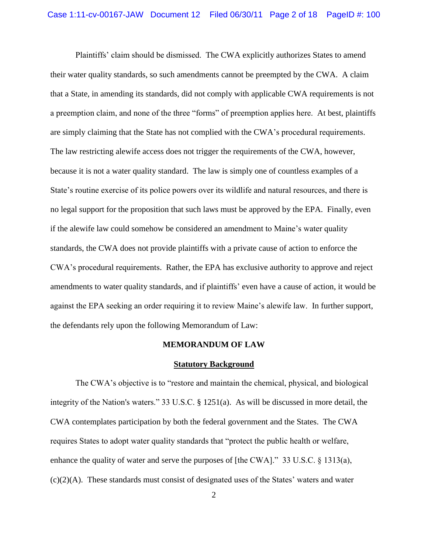Plaintiffs" claim should be dismissed. The CWA explicitly authorizes States to amend their water quality standards, so such amendments cannot be preempted by the CWA. A claim that a State, in amending its standards, did not comply with applicable CWA requirements is not a preemption claim, and none of the three "forms" of preemption applies here. At best, plaintiffs are simply claiming that the State has not complied with the CWA"s procedural requirements. The law restricting alewife access does not trigger the requirements of the CWA, however, because it is not a water quality standard. The law is simply one of countless examples of a State"s routine exercise of its police powers over its wildlife and natural resources, and there is no legal support for the proposition that such laws must be approved by the EPA. Finally, even if the alewife law could somehow be considered an amendment to Maine"s water quality standards, the CWA does not provide plaintiffs with a private cause of action to enforce the CWA"s procedural requirements. Rather, the EPA has exclusive authority to approve and reject amendments to water quality standards, and if plaintiffs' even have a cause of action, it would be against the EPA seeking an order requiring it to review Maine"s alewife law. In further support, the defendants rely upon the following Memorandum of Law:

#### **MEMORANDUM OF LAW**

#### **Statutory Background**

The CWA"s objective is to "restore and maintain the chemical, physical, and biological integrity of the Nation's waters." 33 U.S.C. § 1251(a). As will be discussed in more detail, the CWA contemplates participation by both the federal government and the States. The CWA requires States to adopt water quality standards that "protect the public health or welfare, enhance the quality of water and serve the purposes of [the CWA]." 33 U.S.C. § 1313(a),  $(c)(2)(A)$ . These standards must consist of designated uses of the States' waters and water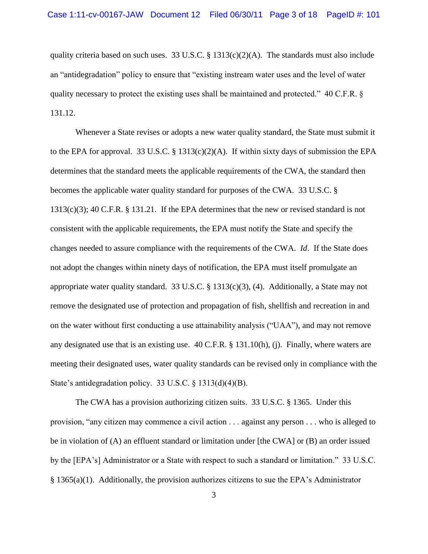quality criteria based on such uses. 33 U.S.C.  $\S$  1313(c)(2)(A). The standards must also include an "antidegradation" policy to ensure that "existing instream water uses and the level of water quality necessary to protect the existing uses shall be maintained and protected." 40 C.F.R. § 131.12.

Whenever a State revises or adopts a new water quality standard, the State must submit it to the EPA for approval. 33 U.S.C. § 1313(c)(2)(A). If within sixty days of submission the EPA determines that the standard meets the applicable requirements of the CWA, the standard then becomes the applicable water quality standard for purposes of the CWA. 33 U.S.C. § 1313(c)(3); 40 C.F.R. § 131.21. If the EPA determines that the new or revised standard is not consistent with the applicable requirements, the EPA must notify the State and specify the changes needed to assure compliance with the requirements of the CWA. *Id*. If the State does not adopt the changes within ninety days of notification, the EPA must itself promulgate an appropriate water quality standard. 33 U.S.C. § 1313(c)(3), (4). Additionally, a State may not remove the designated use of protection and propagation of fish, shellfish and recreation in and on the water without first conducting a use attainability analysis ("UAA"), and may not remove any designated use that is an existing use. 40 C.F.R. § 131.10(h), (j). Finally, where waters are meeting their designated uses, water quality standards can be revised only in compliance with the State's antidegradation policy. 33 U.S.C. § 1313(d)(4)(B).

The CWA has a provision authorizing citizen suits. 33 U.S.C. § 1365. Under this provision, "any citizen may commence a civil action . . . against any person . . . who is alleged to be in violation of (A) an effluent standard or limitation under [the CWA] or (B) an order issued by the [EPA"s] Administrator or a State with respect to such a standard or limitation." 33 U.S.C. § 1365(a)(1). Additionally, the provision authorizes citizens to sue the EPA"s Administrator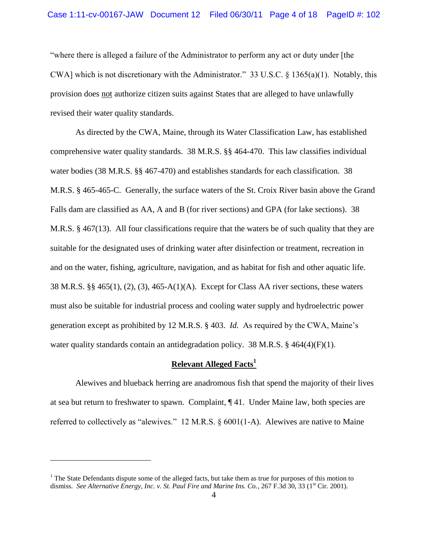"where there is alleged a failure of the Administrator to perform any act or duty under [the CWA] which is not discretionary with the Administrator." 33 U.S.C. § 1365(a)(1). Notably, this provision does not authorize citizen suits against States that are alleged to have unlawfully revised their water quality standards.

As directed by the CWA, Maine, through its Water Classification Law, has established comprehensive water quality standards. 38 M.R.S. §§ 464-470. This law classifies individual water bodies (38 M.R.S. §§ 467-470) and establishes standards for each classification. 38 M.R.S. § 465-465-C. Generally, the surface waters of the St. Croix River basin above the Grand Falls dam are classified as AA, A and B (for river sections) and GPA (for lake sections). 38 M.R.S. § 467(13). All four classifications require that the waters be of such quality that they are suitable for the designated uses of drinking water after disinfection or treatment, recreation in and on the water, fishing, agriculture, navigation, and as habitat for fish and other aquatic life. 38 M.R.S. §§ 465(1), (2), (3), 465-A(1)(A). Except for Class AA river sections, these waters must also be suitable for industrial process and cooling water supply and hydroelectric power generation except as prohibited by 12 M.R.S. § 403. *Id.* As required by the CWA, Maine"s water quality standards contain an antidegradation policy. 38 M.R.S.  $\S$  464(4)(F)(1).

### **Relevant Alleged Facts<sup>1</sup>**

Alewives and blueback herring are anadromous fish that spend the majority of their lives at sea but return to freshwater to spawn. Complaint, ¶ 41. Under Maine law, both species are referred to collectively as "alewives." 12 M.R.S. § 6001(1-A). Alewives are native to Maine

 $\overline{a}$ 

 $<sup>1</sup>$  The State Defendants dispute some of the alleged facts, but take them as true for purposes of this motion to</sup> dismiss. See Alternative Energy, Inc. v. St. Paul Fire and Marine Ins. Co., 267 F.3d 30, 33 (1<sup>st</sup> Cir. 2001).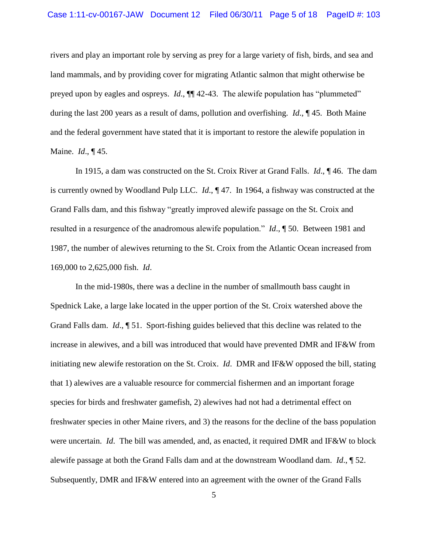rivers and play an important role by serving as prey for a large variety of fish, birds, and sea and land mammals, and by providing cover for migrating Atlantic salmon that might otherwise be preyed upon by eagles and ospreys. *Id*., ¶¶ 42-43. The alewife population has "plummeted" during the last 200 years as a result of dams, pollution and overfishing. *Id*., ¶ 45. Both Maine and the federal government have stated that it is important to restore the alewife population in Maine. *Id*., ¶ 45.

In 1915, a dam was constructed on the St. Croix River at Grand Falls. *Id*., ¶ 46. The dam is currently owned by Woodland Pulp LLC. *Id*., ¶ 47. In 1964, a fishway was constructed at the Grand Falls dam, and this fishway "greatly improved alewife passage on the St. Croix and resulted in a resurgence of the anadromous alewife population." *Id*., ¶ 50. Between 1981 and 1987, the number of alewives returning to the St. Croix from the Atlantic Ocean increased from 169,000 to 2,625,000 fish. *Id*.

In the mid-1980s, there was a decline in the number of smallmouth bass caught in Spednick Lake, a large lake located in the upper portion of the St. Croix watershed above the Grand Falls dam. *Id*., ¶ 51. Sport-fishing guides believed that this decline was related to the increase in alewives, and a bill was introduced that would have prevented DMR and IF&W from initiating new alewife restoration on the St. Croix. *Id*. DMR and IF&W opposed the bill, stating that 1) alewives are a valuable resource for commercial fishermen and an important forage species for birds and freshwater gamefish, 2) alewives had not had a detrimental effect on freshwater species in other Maine rivers, and 3) the reasons for the decline of the bass population were uncertain. *Id*. The bill was amended, and, as enacted, it required DMR and IF&W to block alewife passage at both the Grand Falls dam and at the downstream Woodland dam. *Id*., ¶ 52. Subsequently, DMR and IF&W entered into an agreement with the owner of the Grand Falls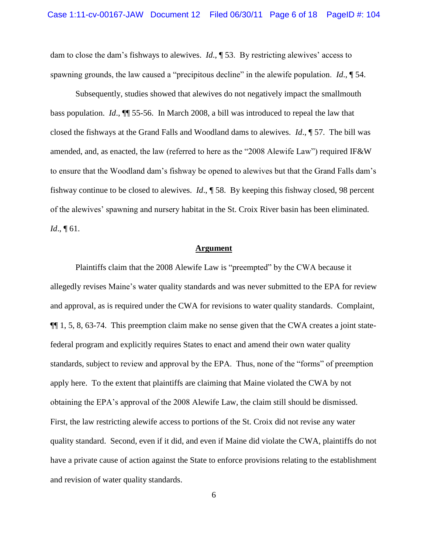dam to close the dam"s fishways to alewives. *Id*., ¶ 53. By restricting alewives" access to spawning grounds, the law caused a "precipitous decline" in the alewife population. *Id*., ¶ 54.

Subsequently, studies showed that alewives do not negatively impact the smallmouth bass population. *Id*., ¶¶ 55-56. In March 2008, a bill was introduced to repeal the law that closed the fishways at the Grand Falls and Woodland dams to alewives. *Id*., ¶ 57. The bill was amended, and, as enacted, the law (referred to here as the "2008 Alewife Law") required IF&W to ensure that the Woodland dam"s fishway be opened to alewives but that the Grand Falls dam"s fishway continue to be closed to alewives. *Id*., ¶ 58. By keeping this fishway closed, 98 percent of the alewives" spawning and nursery habitat in the St. Croix River basin has been eliminated. *Id*., ¶ 61.

### **Argument**

Plaintiffs claim that the 2008 Alewife Law is "preempted" by the CWA because it allegedly revises Maine"s water quality standards and was never submitted to the EPA for review and approval, as is required under the CWA for revisions to water quality standards. Complaint, ¶¶ 1, 5, 8, 63-74. This preemption claim make no sense given that the CWA creates a joint statefederal program and explicitly requires States to enact and amend their own water quality standards, subject to review and approval by the EPA. Thus, none of the "forms" of preemption apply here. To the extent that plaintiffs are claiming that Maine violated the CWA by not obtaining the EPA"s approval of the 2008 Alewife Law, the claim still should be dismissed. First, the law restricting alewife access to portions of the St. Croix did not revise any water quality standard. Second, even if it did, and even if Maine did violate the CWA, plaintiffs do not have a private cause of action against the State to enforce provisions relating to the establishment and revision of water quality standards.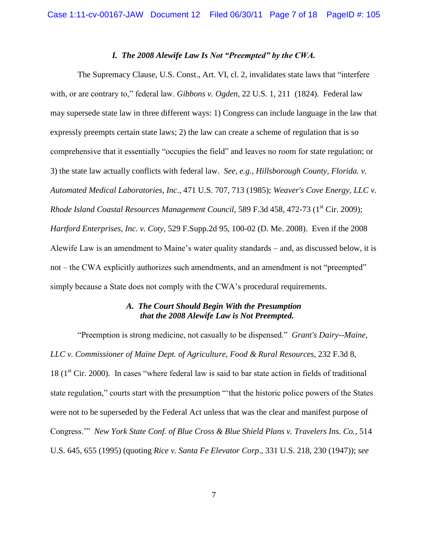### *I. The 2008 Alewife Law Is Not "Preempted" by the CWA.*

The Supremacy Clause, U.S. Const., Art. VI, cl. 2, invalidates state laws that "interfere with, or are contrary to," federal law. *Gibbons v. Ogden,* 22 U.S. 1, 211 (1824). Federal law may supersede state law in three different ways: 1) Congress can include language in the law that expressly preempts certain state laws; 2) the law can create a scheme of regulation that is so comprehensive that it essentially "occupies the field" and leaves no room for state regulation; or 3) the state law actually conflicts with federal law. *See, e.g., Hillsborough County, Florida. v. Automated Medical Laboratories*, *Inc*., 471 U.S. 707, 713 (1985); *Weaver's Cove Energy, LLC v. Rhode Island Coastal Resources Management Council*, 589 F.3d 458, 472-73 (1<sup>st</sup> Cir. 2009); *Hartford Enterprises, Inc. v. Coty*, 529 F.Supp.2d 95, 100-02 (D. Me. 2008). Even if the 2008 Alewife Law is an amendment to Maine"s water quality standards – and, as discussed below, it is not – the CWA explicitly authorizes such amendments, and an amendment is not "preempted" simply because a State does not comply with the CWA"s procedural requirements.

### *A. The Court Should Begin With the Presumption that the 2008 Alewife Law is Not Preempted.*

"Preemption is strong medicine, not casually to be dispensed." *Grant's Dairy--Maine, LLC v. Commissioner of Maine Dept. of Agriculture, Food & Rural Resources*, 232 F.3d 8,  $18 (1<sup>st</sup> Cir. 2000)$ . In cases "where federal law is said to bar state action in fields of traditional state regulation," courts start with the presumption ""that the historic police powers of the States were not to be superseded by the Federal Act unless that was the clear and manifest purpose of Congress."" *New York State Conf. of Blue Cross & Blue Shield Plans v. Travelers Ins. Co.*, 514 U.S. 645, 655 (1995) (quoting *Rice v. Santa Fe Elevator Corp*., 331 U.S. 218, 230 (1947)); *see*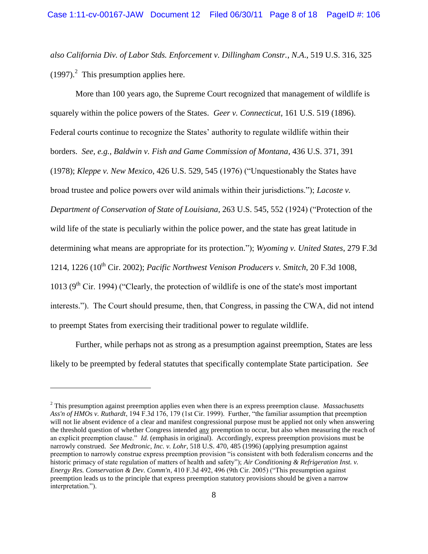*also California Div. of Labor Stds. Enforcement v. Dillingham Constr.*, *N.A*., 519 U.S. 316, 325  $(1997)<sup>2</sup>$  This presumption applies here.

More than 100 years ago, the Supreme Court recognized that management of wildlife is squarely within the police powers of the States. *Geer v. Connecticut*, 161 U.S. 519 (1896). Federal courts continue to recognize the States' authority to regulate wildlife within their borders. *See, e.g., Baldwin v. Fish and Game Commission of Montana*, 436 U.S. 371, 391 (1978); *Kleppe v. New Mexico*, 426 U.S. 529, 545 (1976) ("Unquestionably the States have broad trustee and police powers over wild animals within their jurisdictions."); *Lacoste v. Department of Conservation of State of Louisiana*, 263 U.S. 545, 552 (1924) ("Protection of the wild life of the state is peculiarly within the police power, and the state has great latitude in determining what means are appropriate for its protection."); *Wyoming v. United States*, 279 F.3d 1214, 1226 (10<sup>th</sup> Cir. 2002); *Pacific Northwest Venison Producers v. Smitch*, 20 F.3d 1008, 1013 ( $9<sup>th</sup>$  Cir. 1994) ("Clearly, the protection of wildlife is one of the state's most important interests."). The Court should presume, then, that Congress, in passing the CWA, did not intend to preempt States from exercising their traditional power to regulate wildlife.

Further, while perhaps not as strong as a presumption against preemption, States are less likely to be preempted by federal statutes that specifically contemplate State participation. *See* 

 $\overline{a}$ 

<sup>2</sup> This presumption against preemption applies even when there is an express preemption clause. *Massachusetts Ass'n of HMOs v. Ruthardt*, 194 F.3d 176, 179 (1st Cir. 1999). Further, "the familiar assumption that preemption will not lie absent evidence of a clear and manifest congressional purpose must be applied not only when answering the threshold question of whether Congress intended any preemption to occur, but also when measuring the reach of an explicit preemption clause." *Id.* (emphasis in original). Accordingly, express preemption provisions must be narrowly construed. *See Medtronic, Inc. v. Lohr*, 518 U.S. 470, 485 (1996) (applying presumption against preemption to narrowly construe express preemption provision "is consistent with both federalism concerns and the historic primacy of state regulation of matters of health and safety"); *Air Conditioning & Refrigeration Inst. v. Energy Res. Conservation & Dev. Comm'n*, 410 F.3d 492, 496 (9th Cir. 2005) ("This presumption against preemption leads us to the principle that express preemption statutory provisions should be given a narrow interpretation.").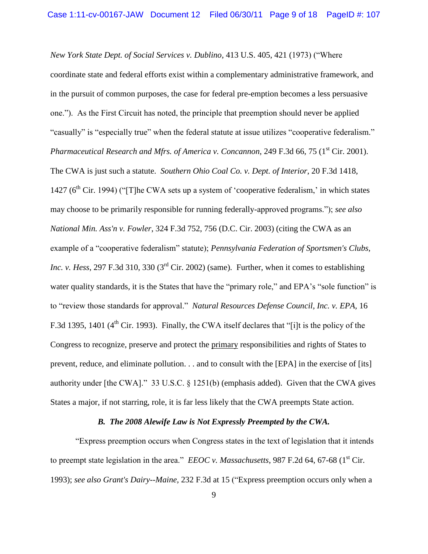*New York State Dept. of Social Services v. Dublino*, 413 U.S. 405, 421 (1973) ("Where coordinate state and federal efforts exist within a complementary administrative framework, and in the pursuit of common purposes, the case for federal pre-emption becomes a less persuasive one."). As the First Circuit has noted, the principle that preemption should never be applied "casually" is "especially true" when the federal statute at issue utilizes "cooperative federalism." *Pharmaceutical Research and Mfrs. of America v. Concannon, 249 F.3d 66, 75 (1<sup>st</sup> Cir. 2001).* The CWA is just such a statute. *Southern Ohio Coal Co. v. Dept. of Interior*, 20 F.3d 1418, 1427 ( $6<sup>th</sup>$  Cir. 1994) ("[T]he CWA sets up a system of 'cooperative federalism,' in which states may choose to be primarily responsible for running federally-approved programs."); *see also National Min. Ass'n v. Fowler*, 324 F.3d 752, 756 (D.C. Cir. 2003) (citing the CWA as an example of a "cooperative federalism" statute); *Pennsylvania Federation of Sportsmen's Clubs, Inc. v. Hess*, 297 F.3d 310, 330 ( $3<sup>rd</sup>$  Cir. 2002) (same). Further, when it comes to establishing water quality standards, it is the States that have the "primary role," and EPA's "sole function" is to "review those standards for approval." *Natural Resources Defense Council, Inc. v. EPA,* 16 F.3d 1395, 1401 ( $4<sup>th</sup>$  Cir. 1993). Finally, the CWA itself declares that "[i]t is the policy of the Congress to recognize, preserve and protect the primary responsibilities and rights of States to prevent, reduce, and eliminate pollution. . . and to consult with the [EPA] in the exercise of [its] authority under [the CWA]." 33 U.S.C. § 1251(b) (emphasis added). Given that the CWA gives States a major, if not starring, role, it is far less likely that the CWA preempts State action.

### *B. The 2008 Alewife Law is Not Expressly Preempted by the CWA.*

"Express preemption occurs when Congress states in the text of legislation that it intends to preempt state legislation in the area." *EEOC v. Massachusetts*, 987 F.2d 64, 67-68 (1<sup>st</sup> Cir. 1993); *see also Grant's Dairy--Maine,* 232 F.3d at 15 ("Express preemption occurs only when a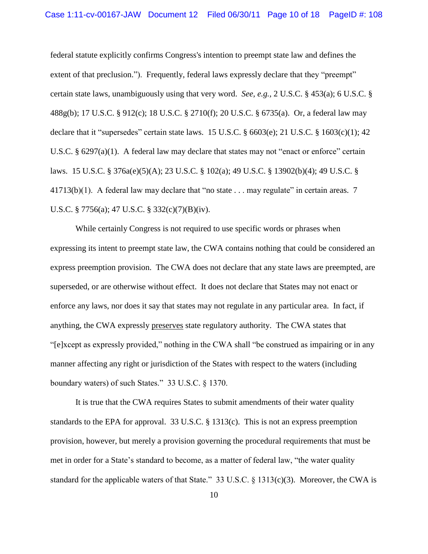federal statute explicitly confirms Congress's intention to preempt state law and defines the extent of that preclusion."). Frequently, federal laws expressly declare that they "preempt" certain state laws, unambiguously using that very word. *See, e.g.,* 2 U.S.C. § 453(a); 6 U.S.C. § 488g(b); 17 U.S.C. § 912(c); 18 U.S.C. § 2710(f); 20 U.S.C. § 6735(a). Or, a federal law may declare that it "supersedes" certain state laws. 15 U.S.C.  $\S$  6603(e); 21 U.S.C.  $\S$  1603(c)(1); 42 U.S.C. § 6297(a)(1). A federal law may declare that states may not "enact or enforce" certain laws. 15 U.S.C. § 376a(e)(5)(A); 23 U.S.C. § 102(a); 49 U.S.C. § 13902(b)(4); 49 U.S.C. §  $41713(b)(1)$ . A federal law may declare that "no state . . . may regulate" in certain areas. 7 U.S.C. § 7756(a); 47 U.S.C. § 332(c)(7)(B)(iv).

While certainly Congress is not required to use specific words or phrases when expressing its intent to preempt state law, the CWA contains nothing that could be considered an express preemption provision. The CWA does not declare that any state laws are preempted, are superseded, or are otherwise without effect. It does not declare that States may not enact or enforce any laws, nor does it say that states may not regulate in any particular area. In fact, if anything, the CWA expressly preserves state regulatory authority. The CWA states that "[e]xcept as expressly provided," nothing in the CWA shall "be construed as impairing or in any manner affecting any right or jurisdiction of the States with respect to the waters (including boundary waters) of such States." 33 U.S.C. § 1370.

It is true that the CWA requires States to submit amendments of their water quality standards to the EPA for approval. 33 U.S.C. § 1313(c). This is not an express preemption provision, however, but merely a provision governing the procedural requirements that must be met in order for a State's standard to become, as a matter of federal law, "the water quality standard for the applicable waters of that State." 33 U.S.C. § 1313(c)(3). Moreover, the CWA is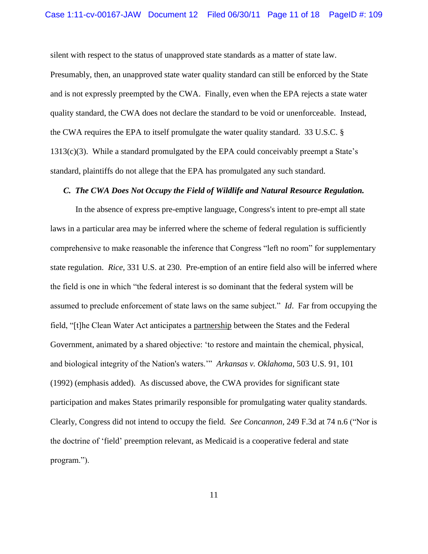silent with respect to the status of unapproved state standards as a matter of state law.

Presumably, then, an unapproved state water quality standard can still be enforced by the State and is not expressly preempted by the CWA. Finally, even when the EPA rejects a state water quality standard, the CWA does not declare the standard to be void or unenforceable. Instead, the CWA requires the EPA to itself promulgate the water quality standard. 33 U.S.C. § 1313(c)(3). While a standard promulgated by the EPA could conceivably preempt a State"s standard, plaintiffs do not allege that the EPA has promulgated any such standard.

### *C. The CWA Does Not Occupy the Field of Wildlife and Natural Resource Regulation.*

In the absence of express pre-emptive language, Congress's intent to pre-empt all state laws in a particular area may be inferred where the scheme of federal regulation is sufficiently comprehensive to make reasonable the inference that Congress "left no room" for supplementary state regulation. *Rice,* 331 U.S. at 230. Pre-emption of an entire field also will be inferred where the field is one in which "the federal interest is so dominant that the federal system will be assumed to preclude enforcement of state laws on the same subject." *Id*. Far from occupying the field, "[t]he Clean Water Act anticipates a partnership between the States and the Federal Government, animated by a shared objective: "to restore and maintain the chemical, physical, and biological integrity of the Nation's waters."" *Arkansas v. Oklahoma*, 503 U.S. 91, 101 (1992) (emphasis added). As discussed above, the CWA provides for significant state participation and makes States primarily responsible for promulgating water quality standards. Clearly, Congress did not intend to occupy the field. *See Concannon,* 249 F.3d at 74 n.6 ("Nor is the doctrine of "field" preemption relevant, as Medicaid is a cooperative federal and state program.").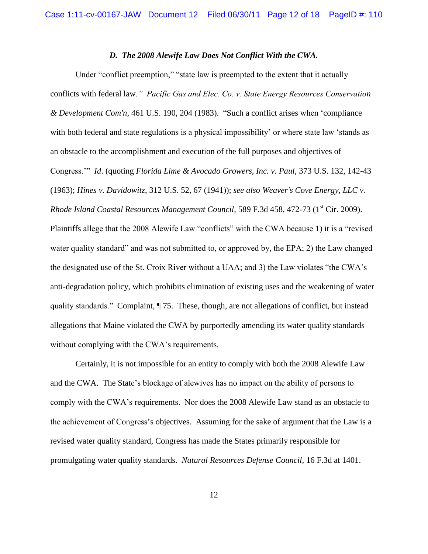### *D. The 2008 Alewife Law Does Not Conflict With the CWA.*

Under "conflict preemption," "state law is preempted to the extent that it actually conflicts with federal law*." Pacific Gas and Elec. Co. v. State Energy Resources Conservation & Development Com'n*, 461 U.S. 190, 204 (1983). "Such a conflict arises when "compliance with both federal and state regulations is a physical impossibility' or where state law 'stands as an obstacle to the accomplishment and execution of the full purposes and objectives of Congress."" *Id*. (quoting *Florida Lime & Avocado Growers, Inc. v. Paul*, 373 U.S. 132, 142-43 (1963); *Hines v. Davidowitz*, 312 U.S. 52, 67 (1941)); *see also Weaver's Cove Energy, LLC v. Rhode Island Coastal Resources Management Council*, 589 F.3d 458, 472-73 (1<sup>st</sup> Cir. 2009). Plaintiffs allege that the 2008 Alewife Law "conflicts" with the CWA because 1) it is a "revised water quality standard" and was not submitted to, or approved by, the EPA; 2) the Law changed the designated use of the St. Croix River without a UAA; and 3) the Law violates "the CWA"s anti-degradation policy, which prohibits elimination of existing uses and the weakening of water quality standards." Complaint, ¶ 75. These, though, are not allegations of conflict, but instead allegations that Maine violated the CWA by purportedly amending its water quality standards without complying with the CWA's requirements.

Certainly, it is not impossible for an entity to comply with both the 2008 Alewife Law and the CWA. The State"s blockage of alewives has no impact on the ability of persons to comply with the CWA"s requirements. Nor does the 2008 Alewife Law stand as an obstacle to the achievement of Congress"s objectives. Assuming for the sake of argument that the Law is a revised water quality standard, Congress has made the States primarily responsible for promulgating water quality standards. *Natural Resources Defense Council,* 16 F.3d at 1401.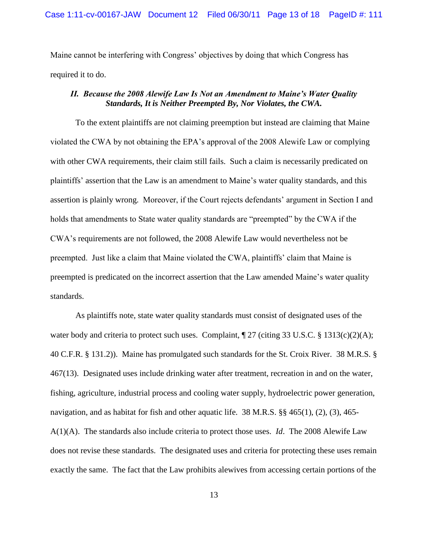Maine cannot be interfering with Congress' objectives by doing that which Congress has required it to do.

# *II. Because the 2008 Alewife Law Is Not an Amendment to Maine's Water Quality Standards, It is Neither Preempted By, Nor Violates, the CWA.*

To the extent plaintiffs are not claiming preemption but instead are claiming that Maine violated the CWA by not obtaining the EPA"s approval of the 2008 Alewife Law or complying with other CWA requirements, their claim still fails. Such a claim is necessarily predicated on plaintiffs" assertion that the Law is an amendment to Maine"s water quality standards, and this assertion is plainly wrong. Moreover, if the Court rejects defendants' argument in Section I and holds that amendments to State water quality standards are "preempted" by the CWA if the CWA"s requirements are not followed, the 2008 Alewife Law would nevertheless not be preempted. Just like a claim that Maine violated the CWA, plaintiffs" claim that Maine is preempted is predicated on the incorrect assertion that the Law amended Maine"s water quality standards.

As plaintiffs note, state water quality standards must consist of designated uses of the water body and criteria to protect such uses. Complaint,  $\sqrt{27}$  (citing 33 U.S.C. § 1313(c)(2)(A); 40 C.F.R. § 131.2)). Maine has promulgated such standards for the St. Croix River. 38 M.R.S. § 467(13). Designated uses include drinking water after treatment, recreation in and on the water, fishing, agriculture, industrial process and cooling water supply, hydroelectric power generation, navigation, and as habitat for fish and other aquatic life. 38 M.R.S. §§ 465(1), (2), (3), 465- A(1)(A). The standards also include criteria to protect those uses. *Id*. The 2008 Alewife Law does not revise these standards. The designated uses and criteria for protecting these uses remain exactly the same. The fact that the Law prohibits alewives from accessing certain portions of the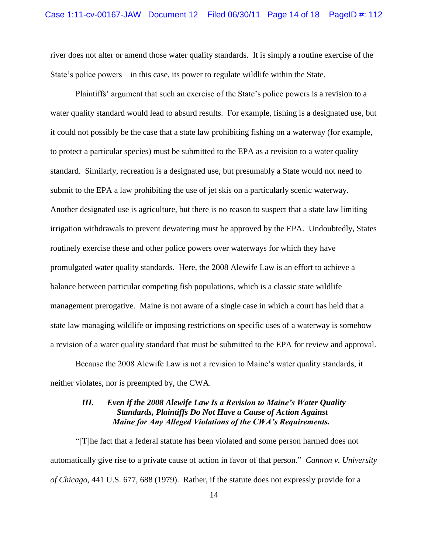river does not alter or amend those water quality standards. It is simply a routine exercise of the State"s police powers – in this case, its power to regulate wildlife within the State.

Plaintiffs' argument that such an exercise of the State's police powers is a revision to a water quality standard would lead to absurd results. For example, fishing is a designated use, but it could not possibly be the case that a state law prohibiting fishing on a waterway (for example, to protect a particular species) must be submitted to the EPA as a revision to a water quality standard. Similarly, recreation is a designated use, but presumably a State would not need to submit to the EPA a law prohibiting the use of jet skis on a particularly scenic waterway. Another designated use is agriculture, but there is no reason to suspect that a state law limiting irrigation withdrawals to prevent dewatering must be approved by the EPA. Undoubtedly, States routinely exercise these and other police powers over waterways for which they have promulgated water quality standards. Here, the 2008 Alewife Law is an effort to achieve a balance between particular competing fish populations, which is a classic state wildlife management prerogative. Maine is not aware of a single case in which a court has held that a state law managing wildlife or imposing restrictions on specific uses of a waterway is somehow a revision of a water quality standard that must be submitted to the EPA for review and approval.

Because the 2008 Alewife Law is not a revision to Maine"s water quality standards, it neither violates, nor is preempted by, the CWA.

## *III. Even if the 2008 Alewife Law Is a Revision to Maine's Water Quality Standards, Plaintiffs Do Not Have a Cause of Action Against Maine for Any Alleged Violations of the CWA's Requirements.*

"[T]he fact that a federal statute has been violated and some person harmed does not automatically give rise to a private cause of action in favor of that person." *Cannon v. University of Chicago*, 441 U.S. 677, 688 (1979). Rather, if the statute does not expressly provide for a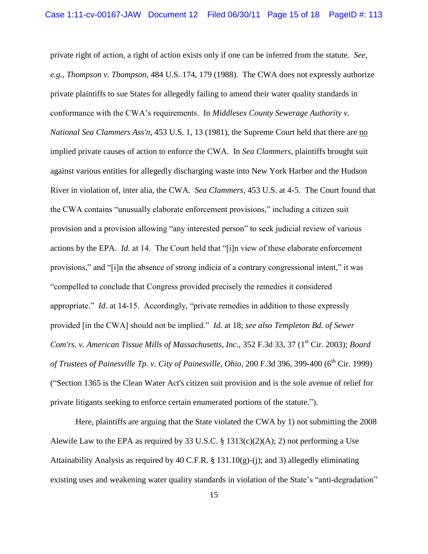private right of action, a right of action exists only if one can be inferred from the statute. *See, e.g., Thompson v. Thompson*, 484 U.S. 174, 179 (1988). The CWA does not expressly authorize private plaintiffs to sue States for allegedly failing to amend their water quality standards in conformance with the CWA"s requirements. In *Middlesex County Sewerage Authority v. National Sea Clammers Ass'n*, 453 U.S. 1, 13 (1981), the Supreme Court held that there are no implied private causes of action to enforce the CWA. In *Sea Clammers*, plaintiffs brought suit against various entities for allegedly discharging waste into New York Harbor and the Hudson River in violation of, inter alia, the CWA. *Sea Clammers*, 453 U.S. at 4-5. The Court found that the CWA contains "unusually elaborate enforcement provisions," including a citizen suit provision and a provision allowing "any interested person" to seek judicial review of various actions by the EPA. *Id*. at 14. The Court held that "[i]n view of these elaborate enforcement provisions," and "[i]n the absence of strong indicia of a contrary congressional intent," it was "compelled to conclude that Congress provided precisely the remedies it considered appropriate." *Id*. at 14-15. Accordingly, "private remedies in addition to those expressly provided [in the CWA] should not be implied." *Id*. at 18; *see also Templeton Bd. of Sewer Com'rs. v. American Tissue Mills of Massachusetts, Inc., 352 F.3d 33, 37 (1<sup>st</sup> Cir. 2003); <i>Board of Trustees of Painesville Tp. v. City of Painesville, Ohio, 200 F.3d 396, 399-400 (6<sup>th</sup> Cir. 1999)* ("Section 1365 is the Clean Water Act's citizen suit provision and is the sole avenue of relief for private litigants seeking to enforce certain enumerated portions of the statute.").

Here, plaintiffs are arguing that the State violated the CWA by 1) not submitting the 2008 Alewife Law to the EPA as required by 33 U.S.C. §  $1313(c)(2)(A); 2)$  not performing a Use Attainability Analysis as required by 40 C.F.R. § 131.10(g)-(j); and 3) allegedly eliminating existing uses and weakening water quality standards in violation of the State's "anti-degradation"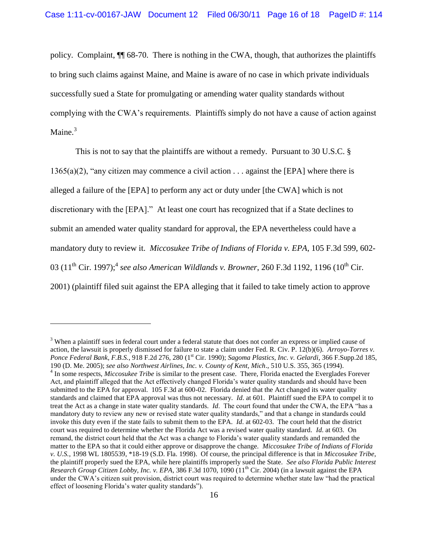policy. Complaint, ¶¶ 68-70. There is nothing in the CWA, though, that authorizes the plaintiffs to bring such claims against Maine, and Maine is aware of no case in which private individuals successfully sued a State for promulgating or amending water quality standards without complying with the CWA"s requirements. Plaintiffs simply do not have a cause of action against Maine. $3$ 

This is not to say that the plaintiffs are without a remedy. Pursuant to 30 U.S.C. §  $1365(a)(2)$ , "any citizen may commence a civil action . . . against the [EPA] where there is alleged a failure of the [EPA] to perform any act or duty under [the CWA] which is not discretionary with the [EPA]." At least one court has recognized that if a State declines to submit an amended water quality standard for approval, the EPA nevertheless could have a mandatory duty to review it. *Miccosukee Tribe of Indians of Florida v. EPA*, 105 F.3d 599, 602- 03 (11<sup>th</sup> Cir. 1997);<sup>4</sup> see also American Wildlands v. Browner, 260 F.3d 1192, 1196 (10<sup>th</sup> Cir. 2001) (plaintiff filed suit against the EPA alleging that it failed to take timely action to approve

 $\overline{a}$ 

<sup>&</sup>lt;sup>3</sup> When a plaintiff sues in federal court under a federal statute that does not confer an express or implied cause of action, the lawsuit is properly dismissed for failure to state a claim under Fed. R. Civ. P. 12(b)(6). *Arroyo-Torres v. Ponce Federal Bank, F.B.S.*, 918 F.2d 276, 280 (1 st Cir. 1990); *Sagoma Plastics, Inc. v. Gelardi*, 366 F.Supp.2d 185, 190 (D. Me. 2005); *see also Northwest Airlines, Inc. v. County of Kent, Mich*., 510 U.S. 355, 365 (1994). <sup>4</sup> In some respects, *Miccosukee Tribe* is similar to the present case. There, Florida enacted the Everglades Forever

Act, and plaintiff alleged that the Act effectively changed Florida"s water quality standards and should have been submitted to the EPA for approval. 105 F.3d at 600-02. Florida denied that the Act changed its water quality standards and claimed that EPA approval was thus not necessary. *Id*. at 601. Plaintiff sued the EPA to compel it to treat the Act as a change in state water quality standards. *Id*. The court found that under the CWA, the EPA "has a mandatory duty to review any new or revised state water quality standards," and that a change in standards could invoke this duty even if the state fails to submit them to the EPA. *Id*. at 602-03. The court held that the district court was required to determine whether the Florida Act was a revised water quality standard. *Id*. at 603. On remand, the district court held that the Act was a change to Florida"s water quality standards and remanded the matter to the EPA so that it could either approve or disapprove the change. *Miccosukee Tribe of Indians of Florida v. U.S.*, 1998 WL 1805539, \*18-19 (S.D. Fla. 1998). Of course, the principal difference is that in *Miccosukee Tribe*, the plaintiff properly sued the EPA, while here plaintiffs improperly sued the State. *See also Florida Public Interest Research Group Citizen Lobby, Inc. v. EPA*, 386 F.3d 1070, 1090 (11th Cir. 2004) (in a lawsuit against the EPA under the CWA"s citizen suit provision, district court was required to determine whether state law "had the practical effect of loosening Florida"s water quality standards").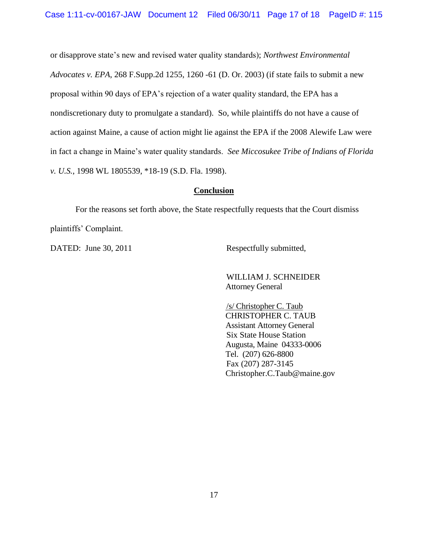or disapprove state"s new and revised water quality standards); *Northwest Environmental Advocates v. EPA*, 268 F.Supp.2d 1255, 1260 -61 (D. Or. 2003) (if state fails to submit a new proposal within 90 days of EPA"s rejection of a water quality standard, the EPA has a nondiscretionary duty to promulgate a standard). So, while plaintiffs do not have a cause of action against Maine, a cause of action might lie against the EPA if the 2008 Alewife Law were in fact a change in Maine"s water quality standards. *See Miccosukee Tribe of Indians of Florida v. U.S.*, 1998 WL 1805539, \*18-19 (S.D. Fla. 1998).

## **Conclusion**

For the reasons set forth above, the State respectfully requests that the Court dismiss plaintiffs" Complaint.

DATED: June 30, 2011 Respectfully submitted,

WILLIAM J. SCHNEIDER Attorney General

/s/ Christopher C. Taub CHRISTOPHER C. TAUB Assistant Attorney General Six State House Station Augusta, Maine 04333-0006 Tel. (207) 626-8800 Fax (207) 287-3145 Christopher.C.Taub@maine.gov